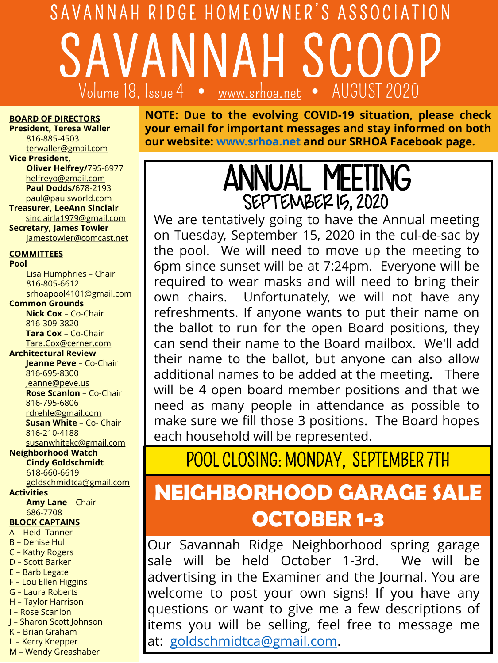# SAVANNAH RIDGE HOMEOWNER'S ASSOCIATION SAVANNAH SCOOP Volume 18, Issue 4  $\bullet$

#### **BOARD OF DIRECTORS**

**President, Teresa Waller** 816-885-4503 [terwaller@gmail.com](mailto:terwaller@gmail.com)

**Vice President,** 

**Oliver Helfrey/**795-6977 [helfreyo@gmail.com](mailto:helfreyo@gmail.com) **Paul Dodds/**678-2193 [paul@paulsworld.com](mailto:paul@paulsworld.com)

**Treasurer, LeeAnn Sinclair** sinclairla1979@gmail.com **Secretary, James Towler**

[jamestowler@comcast.net](mailto:jamestowler@comcast.net)

### **COMMITTEES**

**Pool** Lisa Humphries – Chair 816-805-6612 srhoapool4101@gmail.com **Common Grounds Nick Cox** – Co-Chair 816-309-3820 **Tara Cox** – Co-Chair [Tara.Cox@cerner.com](mailto:Tara.Cox@cerner.com) **Architectural Review Jeanne Peve** – Co-Chair 816-695-8300 Je[anne@peve.us](mailto:eanne@peve.us) **Rose Scanlon** – Co-Chair 816-795-6806 [rdrehle@gmail.com](mailto:rdrehle@gmail.com) **Susan White** – Co- Chair 816-210-4188 [susanwhitekc@gmail.com](mailto:drehle@gmail.com) **Neighborhood Watch Cindy Goldschmidt** 618-660-6619 [goldschmidtca@gmail.com](mailto:goldschmidtca@gmail.com)

#### **Activities**

**Amy Lane** – Chair 686-7708

### **BLOCK CAPTAINS**

- A Heidi Tanner
- B Denise Hull
- C Kathy Rogers D – Scott Barker
- E Barb Legate
- F Lou Ellen Higgins
- G Laura Roberts
- H Taylor Harrison
- I Rose Scanlon
- J Sharon Scott Johnson
- K Brian Graham L – Kerry Knepper
- M Wendy Greashaber

**NOTE: Due to the evolving COVID-19 situation, please check your email for important messages and stay informed on both our website: [www.srhoa.net](http://www.srhoa.net/) and our SRHOA Facebook page.**

# ANNUAL MEETING SEPTEMBER 15, 2020

We are tentatively going to have the Annual meeting on Tuesday, September 15, 2020 in the cul-de-sac by the pool. We will need to move up the meeting to 6pm since sunset will be at 7:24pm. Everyone will be required to wear masks and will need to bring their own chairs. Unfortunately, we will not have any refreshments. If anyone wants to put their name on the ballot to run for the open Board positions, they can send their name to the Board mailbox. We'll add their name to the ballot, but anyone can also allow additional names to be added at the meeting. There will be 4 open board member positions and that we need as many people in attendance as possible to make sure we fill those 3 positions. The Board hopes each household will be represented.

POOL CLOSING: MONDAY, SEPTEMBER 7TH

## **NEIGHBORHOOD GARAGE SALE OCTOBER 1-3**

Our Savannah Ridge Neighborhood spring garage sale will be held October 1-3rd. We will be advertising in the Examiner and the Journal. You are welcome to post your own signs! If you have any questions or want to give me a few descriptions of items you will be selling, feel free to message me at: [goldschmidtca@gmail.com.](mailto:goldschmidtca@gmail.com)